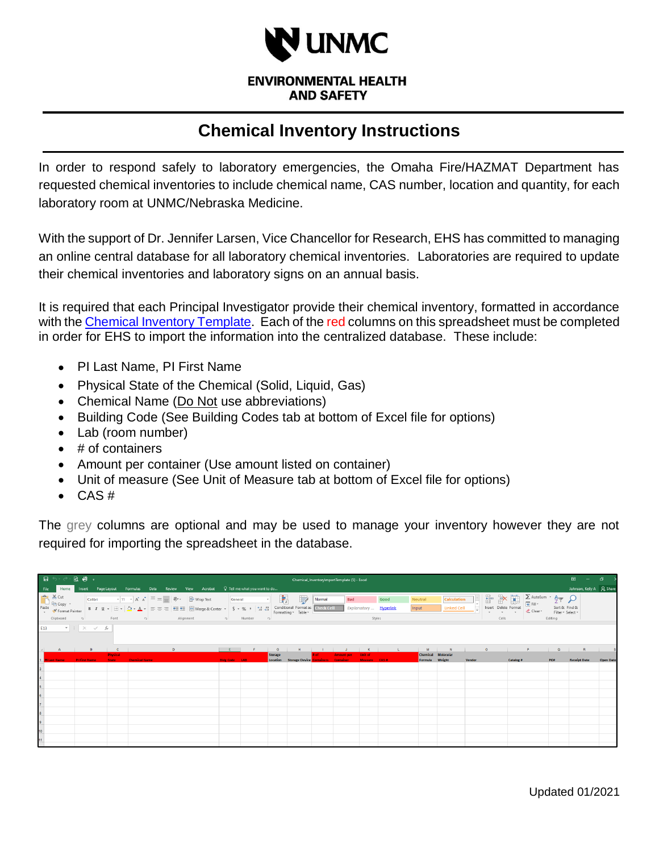

**ENVIRONMENTAL HEALTH AND SAFETY** 

## **Chemical Inventory Instructions**

In order to respond safely to laboratory emergencies, the Omaha Fire/HAZMAT Department has requested chemical inventories to include chemical name, CAS number, location and quantity, for each laboratory room at UNMC/Nebraska Medicine.

With the support of Dr. Jennifer Larsen, Vice Chancellor for Research, EHS has committed to managing an online central database for all laboratory chemical inventories. Laboratories are required to update their chemical inventories and laboratory signs on an annual basis.

It is required that each Principal Investigator provide their chemical inventory, formatted in accordance with the [Chemical Inventory Template.](https://www.unmc.edu/ehs/chemical-safety/Chemical_InventoryImportTemplate.xlsx) Each of the red columns on this spreadsheet must be completed in order for EHS to import the information into the centralized database. These include:

- PI Last Name, PI First Name
- Physical State of the Chemical (Solid, Liquid, Gas)
- Chemical Name (Do Not use abbreviations)
- Building Code (See Building Codes tab at bottom of Excel file for options)
- Lab (room number)
- $\bullet$  # of containers
- Amount per container (Use amount listed on container)
- Unit of measure (See Unit of Measure tab at bottom of Excel file for options)
- $\bullet$  CAS#

The grey columns are optional and may be used to manage your inventory however they are not required for importing the spreadsheet in the database.

| $\Box$ and $\Box$ and $\Box$<br>Chemical InventoryImportTemplate (5) - Excel |                                                                                                          |                                                                             |                      |                    |                      |      |    |                                                                                                                                                                                                                                                                                                                                                                                                                                                                                                                                                                                                                                                                                        |                      |        |                                         |                |                                    | $\blacksquare$ | $ \theta$ $\times$                    |                                |                                |                  |                                          |        |                                                                                                                                                                                                                                                                                                                                                                                                                                                                                                                                                                                                                              |           |                                                                                                                       |                                               |                           |                  |
|------------------------------------------------------------------------------|----------------------------------------------------------------------------------------------------------|-----------------------------------------------------------------------------|----------------------|--------------------|----------------------|------|----|----------------------------------------------------------------------------------------------------------------------------------------------------------------------------------------------------------------------------------------------------------------------------------------------------------------------------------------------------------------------------------------------------------------------------------------------------------------------------------------------------------------------------------------------------------------------------------------------------------------------------------------------------------------------------------------|----------------------|--------|-----------------------------------------|----------------|------------------------------------|----------------|---------------------------------------|--------------------------------|--------------------------------|------------------|------------------------------------------|--------|------------------------------------------------------------------------------------------------------------------------------------------------------------------------------------------------------------------------------------------------------------------------------------------------------------------------------------------------------------------------------------------------------------------------------------------------------------------------------------------------------------------------------------------------------------------------------------------------------------------------------|-----------|-----------------------------------------------------------------------------------------------------------------------|-----------------------------------------------|---------------------------|------------------|
| Fig. 12.12                                                                   | Home                                                                                                     |                                                                             |                      | Insert Page Layout |                      |      |    | Formulas Data Review View Acrobat                                                                                                                                                                                                                                                                                                                                                                                                                                                                                                                                                                                                                                                      |                      |        | $\mathbb Q$ Tell me what you want to do |                |                                    |                |                                       |                                |                                |                  |                                          |        |                                                                                                                                                                                                                                                                                                                                                                                                                                                                                                                                                                                                                              |           |                                                                                                                       |                                               | Johnson, Kelly A Q. Share |                  |
|                                                                              | $\frac{1}{\sqrt{2}}$ & Cut<br>Reflex Copy $\frac{1}{\sqrt{2}}$<br>Paste<br>V Format Painter<br>Clipboard | $-5$                                                                        |                      | Font               |                      | $-6$ |    | $\boxed{\text{Calibi}}\qquad \qquad \text{``}\; \boxed{11 \text{ ``}\; \text{A``}\; \text{A''}}\; \equiv \; \equiv \; \equiv \; \text{``}\; \text{``}\; \text{``}\; \text{``}\; \text{``}\; \text{``}\; \text{``}\; \text{``}\; \text{``}\; \text{``}\; \text{``}\; \text{``}\; \text{``}\; \text{``}\; \text{``}\; \text{``}\; \text{``}\; \text{``}\; \text{``}\; \text{``}\; \text{``}\; \text{``}\; \text{``}\; \text{``}\; \text{``}\; \text{``}\; \text{``}\$<br><b>B</b> $I \cup I = \Box \cdot \Delta \cdot \Delta = \equiv \equiv \equiv \Box$ $\Box$ Merge & Center $\sim$ \$ $\sim$ % $\sim$ $\frac{1+0.00}{20.00}$ Conditional Formatting $\sim$ Table $\sim$<br>Alignment | <b>GLE</b>           | Number |                                         | $-5$           | 曝                                  | Normal         | <b>Bad</b>                            | Styles                         | Good<br>Explanatory  Hyperlink | Neutral<br>Input | <b>Calculation</b><br><b>Linked Cell</b> | LH.    | $\begin{tabular}{ c c c c } \hline \quad \quad & \quad \quad & \quad \quad & \quad \quad & \quad \quad & \quad \quad \\ \hline \quad \quad & \quad \quad & \quad \quad & \quad \quad & \quad \quad & \quad \quad \\ \hline \quad \quad & \quad \quad & \quad \quad & \quad \quad & \quad \quad & \quad \quad \\ \hline \quad \quad & \quad \quad & \quad \quad & \quad \quad & \quad \quad & \quad \quad & \quad \quad \\ \hline \quad \quad & \quad \quad & \quad \quad & \quad \quad & \quad \quad & \quad \quad & \quad \quad \\ \hline \quad \quad & \quad \quad & \quad \quad & \quad \quad & \quad \quad & \$<br>Cells |           | $\sum$ AutoSum $\rightarrow$ $\frac{A}{2}$ $\rightarrow$ 0<br>$\overline{\mathcal{L}}$ Clear $\overline{\mathcal{L}}$ | Sort & Find &<br>Filter v Select v<br>Editing |                           |                  |
| E13                                                                          |                                                                                                          | $\begin{array}{ccccc} \star & \vdots & \times & \checkmark & f \end{array}$ |                      |                    |                      |      |    |                                                                                                                                                                                                                                                                                                                                                                                                                                                                                                                                                                                                                                                                                        |                      |        |                                         |                |                                    |                |                                       |                                |                                |                  |                                          |        |                                                                                                                                                                                                                                                                                                                                                                                                                                                                                                                                                                                                                              |           |                                                                                                                       |                                               |                           |                  |
|                                                                              |                                                                                                          |                                                                             |                      |                    |                      |      | D. |                                                                                                                                                                                                                                                                                                                                                                                                                                                                                                                                                                                                                                                                                        |                      |        |                                         | $\mathbf{G}$   |                                    |                |                                       | $\kappa$                       |                                |                  | M <sub>N</sub>                           |        | $\circ$                                                                                                                                                                                                                                                                                                                                                                                                                                                                                                                                                                                                                      |           |                                                                                                                       | $\alpha$                                      |                           |                  |
|                                                                              |                                                                                                          |                                                                             |                      | <b>Physical</b>    |                      |      |    |                                                                                                                                                                                                                                                                                                                                                                                                                                                                                                                                                                                                                                                                                        |                      |        |                                         | <b>Storage</b> | Location Storage Device Containers | # of           | <b>Amount per</b><br><b>Container</b> | <b>Unit of</b><br>Measure CAS# |                                | Formula Weight   | Chemical Molecular                       |        |                                                                                                                                                                                                                                                                                                                                                                                                                                                                                                                                                                                                                              |           |                                                                                                                       |                                               |                           |                  |
|                                                                              | 1 PI Last Name                                                                                           |                                                                             | <b>PI First Name</b> | State -            | <b>Chemical Name</b> |      |    |                                                                                                                                                                                                                                                                                                                                                                                                                                                                                                                                                                                                                                                                                        | <b>Bldg Code LAB</b> |        |                                         |                |                                    |                |                                       |                                |                                |                  |                                          | Vendor |                                                                                                                                                                                                                                                                                                                                                                                                                                                                                                                                                                                                                              | Catalog # |                                                                                                                       | PO#                                           | <b>Receipt Date</b>       | <b>Open Date</b> |
|                                                                              |                                                                                                          |                                                                             |                      |                    |                      |      |    |                                                                                                                                                                                                                                                                                                                                                                                                                                                                                                                                                                                                                                                                                        |                      |        |                                         |                |                                    |                |                                       |                                |                                |                  |                                          |        |                                                                                                                                                                                                                                                                                                                                                                                                                                                                                                                                                                                                                              |           |                                                                                                                       |                                               |                           |                  |
|                                                                              |                                                                                                          |                                                                             |                      |                    |                      |      |    |                                                                                                                                                                                                                                                                                                                                                                                                                                                                                                                                                                                                                                                                                        |                      |        |                                         |                |                                    |                |                                       |                                |                                |                  |                                          |        |                                                                                                                                                                                                                                                                                                                                                                                                                                                                                                                                                                                                                              |           |                                                                                                                       |                                               |                           |                  |
|                                                                              |                                                                                                          |                                                                             |                      |                    |                      |      |    |                                                                                                                                                                                                                                                                                                                                                                                                                                                                                                                                                                                                                                                                                        |                      |        |                                         |                |                                    |                |                                       |                                |                                |                  |                                          |        |                                                                                                                                                                                                                                                                                                                                                                                                                                                                                                                                                                                                                              |           |                                                                                                                       |                                               |                           |                  |
|                                                                              |                                                                                                          |                                                                             |                      |                    |                      |      |    |                                                                                                                                                                                                                                                                                                                                                                                                                                                                                                                                                                                                                                                                                        |                      |        |                                         |                |                                    |                |                                       |                                |                                |                  |                                          |        |                                                                                                                                                                                                                                                                                                                                                                                                                                                                                                                                                                                                                              |           |                                                                                                                       |                                               |                           |                  |
|                                                                              |                                                                                                          |                                                                             |                      |                    |                      |      |    |                                                                                                                                                                                                                                                                                                                                                                                                                                                                                                                                                                                                                                                                                        |                      |        |                                         |                |                                    |                |                                       |                                |                                |                  |                                          |        |                                                                                                                                                                                                                                                                                                                                                                                                                                                                                                                                                                                                                              |           |                                                                                                                       |                                               |                           |                  |
|                                                                              |                                                                                                          |                                                                             |                      |                    |                      |      |    |                                                                                                                                                                                                                                                                                                                                                                                                                                                                                                                                                                                                                                                                                        |                      |        |                                         |                |                                    |                |                                       |                                |                                |                  |                                          |        |                                                                                                                                                                                                                                                                                                                                                                                                                                                                                                                                                                                                                              |           |                                                                                                                       |                                               |                           |                  |
|                                                                              |                                                                                                          |                                                                             |                      |                    |                      |      |    |                                                                                                                                                                                                                                                                                                                                                                                                                                                                                                                                                                                                                                                                                        |                      |        |                                         |                |                                    |                |                                       |                                |                                |                  |                                          |        |                                                                                                                                                                                                                                                                                                                                                                                                                                                                                                                                                                                                                              |           |                                                                                                                       |                                               |                           |                  |
|                                                                              |                                                                                                          |                                                                             |                      |                    |                      |      |    |                                                                                                                                                                                                                                                                                                                                                                                                                                                                                                                                                                                                                                                                                        |                      |        |                                         |                |                                    |                |                                       |                                |                                |                  |                                          |        |                                                                                                                                                                                                                                                                                                                                                                                                                                                                                                                                                                                                                              |           |                                                                                                                       |                                               |                           |                  |
|                                                                              |                                                                                                          |                                                                             |                      |                    |                      |      |    |                                                                                                                                                                                                                                                                                                                                                                                                                                                                                                                                                                                                                                                                                        |                      |        |                                         |                |                                    |                |                                       |                                |                                |                  |                                          |        |                                                                                                                                                                                                                                                                                                                                                                                                                                                                                                                                                                                                                              |           |                                                                                                                       |                                               |                           |                  |
|                                                                              |                                                                                                          |                                                                             |                      |                    |                      |      |    |                                                                                                                                                                                                                                                                                                                                                                                                                                                                                                                                                                                                                                                                                        |                      |        |                                         |                |                                    |                |                                       |                                |                                |                  |                                          |        |                                                                                                                                                                                                                                                                                                                                                                                                                                                                                                                                                                                                                              |           |                                                                                                                       |                                               |                           |                  |
|                                                                              |                                                                                                          |                                                                             |                      |                    |                      |      |    |                                                                                                                                                                                                                                                                                                                                                                                                                                                                                                                                                                                                                                                                                        |                      |        |                                         |                |                                    |                |                                       |                                |                                |                  |                                          |        |                                                                                                                                                                                                                                                                                                                                                                                                                                                                                                                                                                                                                              |           |                                                                                                                       |                                               |                           |                  |